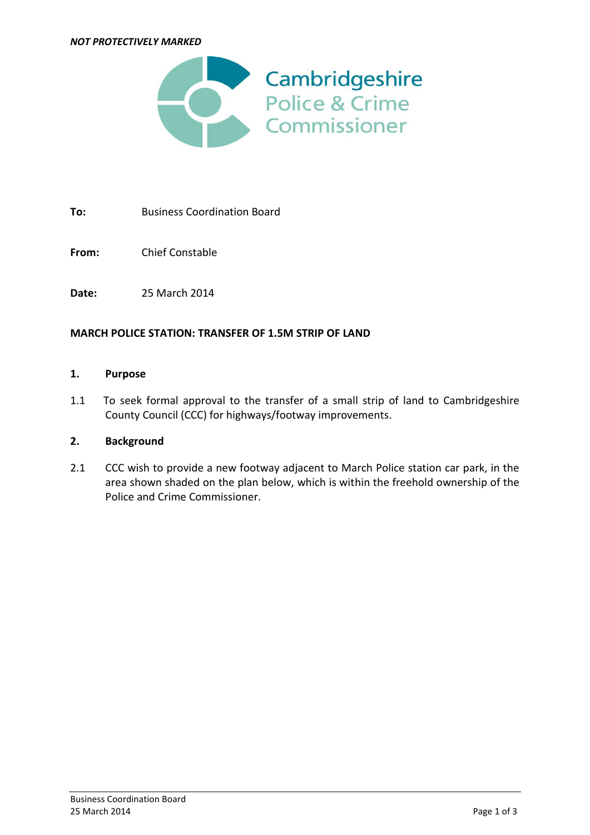#### *NOT PROTECTIVELY MARKED*



**To:** Business Coordination Board

**From:** Chief Constable

**Date:** 25 March 2014

### **MARCH POLICE STATION: TRANSFER OF 1.5M STRIP OF LAND**

#### **1. Purpose**

1.1 To seek formal approval to the transfer of a small strip of land to Cambridgeshire County Council (CCC) for highways/footway improvements.

### **2. Background**

2.1 CCC wish to provide a new footway adjacent to March Police station car park, in the area shown shaded on the plan below, which is within the freehold ownership of the Police and Crime Commissioner.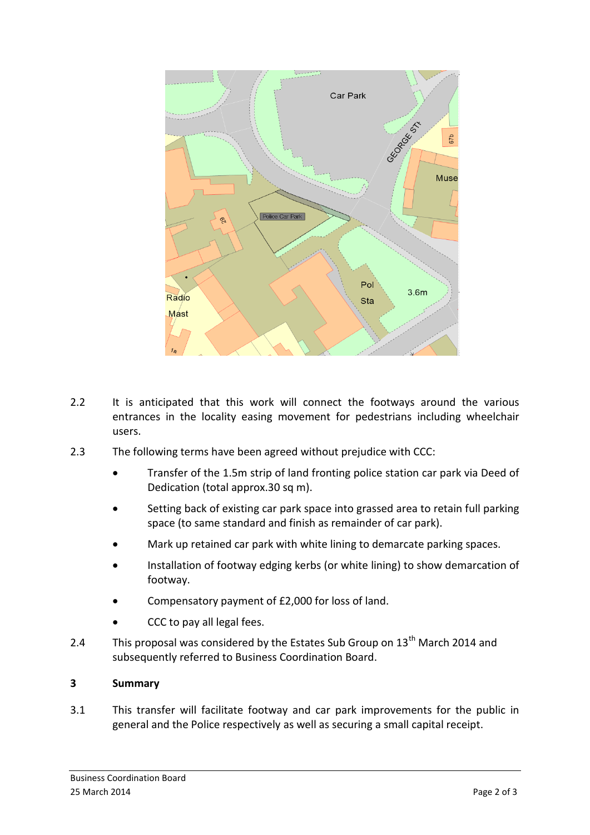

- 2.2 It is anticipated that this work will connect the footways around the various entrances in the locality easing movement for pedestrians including wheelchair users.
- 2.3 The following terms have been agreed without prejudice with CCC:
	- Transfer of the 1.5m strip of land fronting police station car park via Deed of Dedication (total approx.30 sq m).
	- Setting back of existing car park space into grassed area to retain full parking space (to same standard and finish as remainder of car park).
	- Mark up retained car park with white lining to demarcate parking spaces.
	- Installation of footway edging kerbs (or white lining) to show demarcation of footway.
	- Compensatory payment of £2,000 for loss of land.
	- CCC to pay all legal fees.
- 2.4 This proposal was considered by the Estates Sub Group on  $13<sup>th</sup>$  March 2014 and subsequently referred to Business Coordination Board.

## **3 Summary**

3.1 This transfer will facilitate footway and car park improvements for the public in general and the Police respectively as well as securing a small capital receipt.